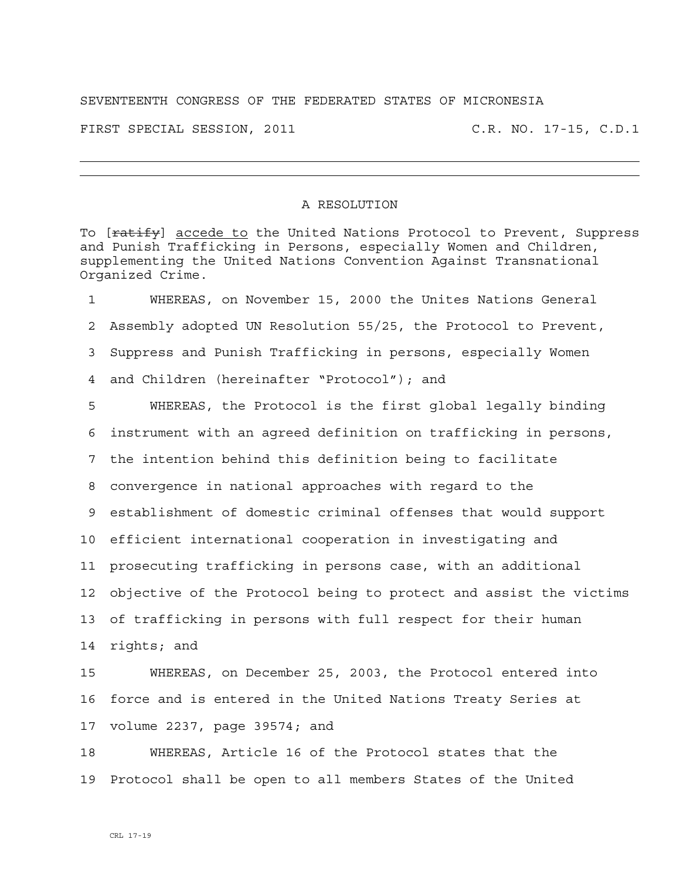## SEVENTEENTH CONGRESS OF THE FEDERATED STATES OF MICRONESIA

FIRST SPECIAL SESSION, 2011 C.R. NO. 17-15, C.D.1

## A RESOLUTION

To [ratify] accede to the United Nations Protocol to Prevent, Suppress and Punish Trafficking in Persons, especially Women and Children, supplementing the United Nations Convention Against Transnational Organized Crime.

1 WHEREAS, on November 15, 2000 the Unites Nations General 2 Assembly adopted UN Resolution 55/25, the Protocol to Prevent, 3 Suppress and Punish Trafficking in persons, especially Women 4 and Children (hereinafter "Protocol"); and

5 WHEREAS, the Protocol is the first global legally binding 6 instrument with an agreed definition on trafficking in persons, 7 the intention behind this definition being to facilitate 8 convergence in national approaches with regard to the 9 establishment of domestic criminal offenses that would support 10 efficient international cooperation in investigating and 11 prosecuting trafficking in persons case, with an additional 12 objective of the Protocol being to protect and assist the victims 13 of trafficking in persons with full respect for their human 14 rights; and

15 WHEREAS, on December 25, 2003, the Protocol entered into 16 force and is entered in the United Nations Treaty Series at 17 volume 2237, page 39574; and

18 WHEREAS, Article 16 of the Protocol states that the 19 Protocol shall be open to all members States of the United